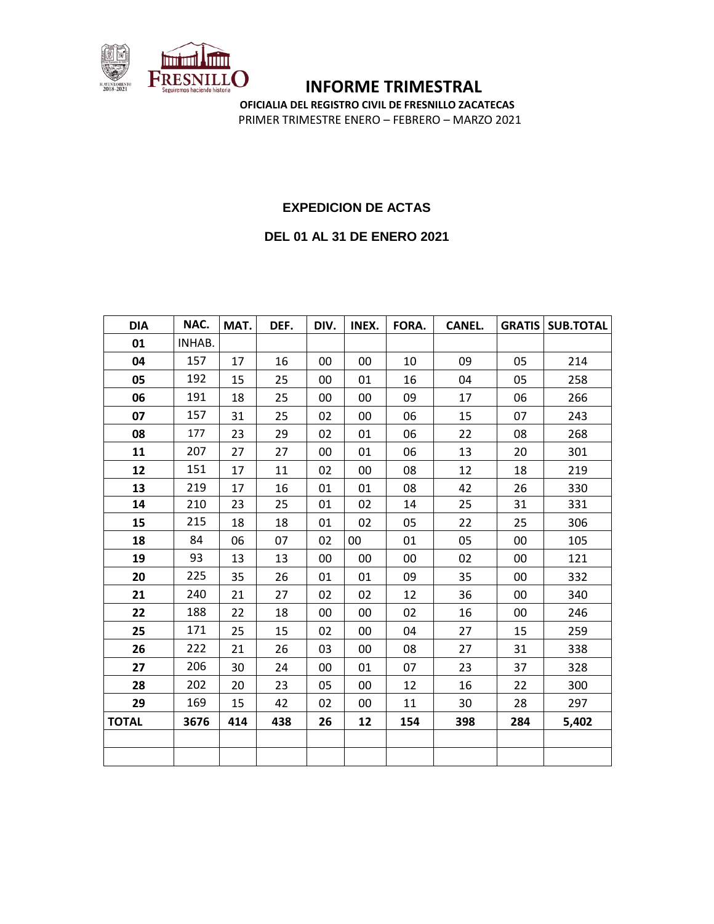

**OFICIALIA DEL REGISTRO CIVIL DE FRESNILLO ZACATECAS** PRIMER TRIMESTRE ENERO – FEBRERO – MARZO 2021

#### **EXPEDICION DE ACTAS**

#### **DEL 01 AL 31 DE ENERO 2021**

| <b>DIA</b>   | NAC.   | MAT. | DEF. | DIV. | INEX. | FORA. | <b>CANEL.</b> |     | <b>GRATIS   SUB.TOTAL</b> |
|--------------|--------|------|------|------|-------|-------|---------------|-----|---------------------------|
| 01           | INHAB. |      |      |      |       |       |               |     |                           |
| 04           | 157    | 17   | 16   | 00   | 00    | 10    | 09            | 05  | 214                       |
| 05           | 192    | 15   | 25   | 00   | 01    | 16    | 04            | 05  | 258                       |
| 06           | 191    | 18   | 25   | 00   | 00    | 09    | 17            | 06  | 266                       |
| 07           | 157    | 31   | 25   | 02   | 00    | 06    | 15            | 07  | 243                       |
| 08           | 177    | 23   | 29   | 02   | 01    | 06    | 22            | 08  | 268                       |
| 11           | 207    | 27   | 27   | 00   | 01    | 06    | 13            | 20  | 301                       |
| 12           | 151    | 17   | 11   | 02   | 00    | 08    | 12            | 18  | 219                       |
| 13           | 219    | 17   | 16   | 01   | 01    | 08    | 42            | 26  | 330                       |
| 14           | 210    | 23   | 25   | 01   | 02    | 14    | 25            | 31  | 331                       |
| 15           | 215    | 18   | 18   | 01   | 02    | 05    | 22            | 25  | 306                       |
| 18           | 84     | 06   | 07   | 02   | 00    | 01    | 05            | 00  | 105                       |
| 19           | 93     | 13   | 13   | 00   | 00    | 00    | 02            | 00  | 121                       |
| 20           | 225    | 35   | 26   | 01   | 01    | 09    | 35            | 00  | 332                       |
| 21           | 240    | 21   | 27   | 02   | 02    | 12    | 36            | 00  | 340                       |
| 22           | 188    | 22   | 18   | 00   | 00    | 02    | 16            | 00  | 246                       |
| 25           | 171    | 25   | 15   | 02   | 00    | 04    | 27            | 15  | 259                       |
| 26           | 222    | 21   | 26   | 03   | 00    | 08    | 27            | 31  | 338                       |
| 27           | 206    | 30   | 24   | 00   | 01    | 07    | 23            | 37  | 328                       |
| 28           | 202    | 20   | 23   | 05   | 00    | 12    | 16            | 22  | 300                       |
| 29           | 169    | 15   | 42   | 02   | 00    | 11    | 30            | 28  | 297                       |
| <b>TOTAL</b> | 3676   | 414  | 438  | 26   | 12    | 154   | 398           | 284 | 5,402                     |
|              |        |      |      |      |       |       |               |     |                           |
|              |        |      |      |      |       |       |               |     |                           |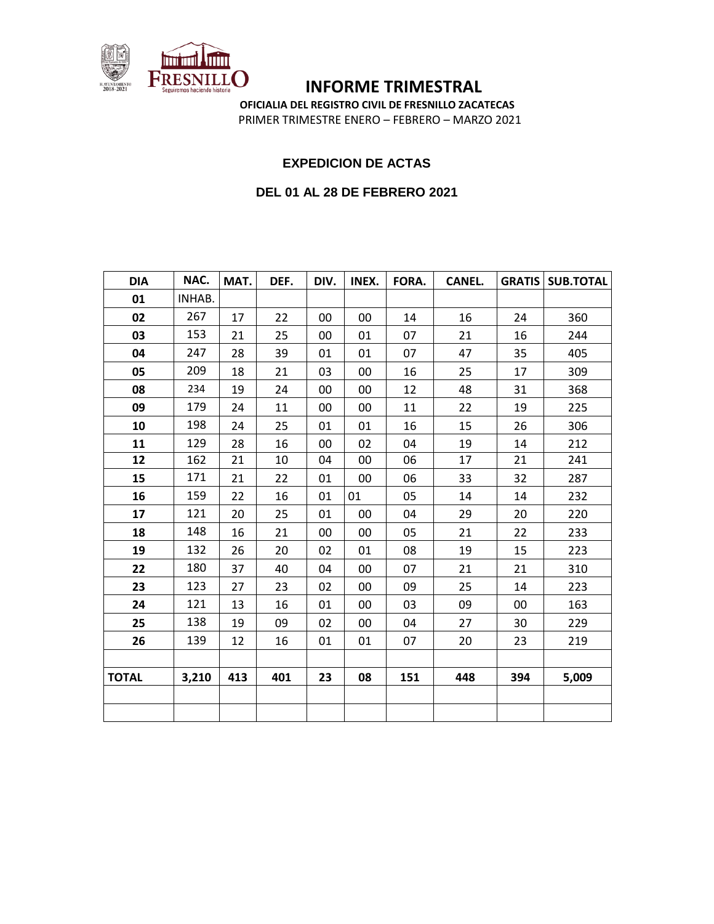

**OFICIALIA DEL REGISTRO CIVIL DE FRESNILLO ZACATECAS** PRIMER TRIMESTRE ENERO – FEBRERO – MARZO 2021

#### **EXPEDICION DE ACTAS**

#### **DEL 01 AL 28 DE FEBRERO 2021**

| <b>DIA</b>   | NAC.   | MAT. | DEF. | DIV. | INEX. | FORA. | <b>CANEL.</b> |     | <b>GRATIS SUB.TOTAL</b> |
|--------------|--------|------|------|------|-------|-------|---------------|-----|-------------------------|
| 01           | INHAB. |      |      |      |       |       |               |     |                         |
| 02           | 267    | 17   | 22   | 00   | 00    | 14    | 16            | 24  | 360                     |
| 03           | 153    | 21   | 25   | 00   | 01    | 07    | 21            | 16  | 244                     |
| 04           | 247    | 28   | 39   | 01   | 01    | 07    | 47            | 35  | 405                     |
| 05           | 209    | 18   | 21   | 03   | 00    | 16    | 25            | 17  | 309                     |
| 08           | 234    | 19   | 24   | 00   | 00    | 12    | 48            | 31  | 368                     |
| 09           | 179    | 24   | 11   | 00   | 00    | 11    | 22            | 19  | 225                     |
| 10           | 198    | 24   | 25   | 01   | 01    | 16    | 15            | 26  | 306                     |
| 11           | 129    | 28   | 16   | 00   | 02    | 04    | 19            | 14  | 212                     |
| 12           | 162    | 21   | 10   | 04   | 00    | 06    | 17            | 21  | 241                     |
| 15           | 171    | 21   | 22   | 01   | 00    | 06    | 33            | 32  | 287                     |
| 16           | 159    | 22   | 16   | 01   | 01    | 05    | 14            | 14  | 232                     |
| 17           | 121    | 20   | 25   | 01   | 00    | 04    | 29            | 20  | 220                     |
| 18           | 148    | 16   | 21   | 00   | 00    | 05    | 21            | 22  | 233                     |
| 19           | 132    | 26   | 20   | 02   | 01    | 08    | 19            | 15  | 223                     |
| 22           | 180    | 37   | 40   | 04   | 00    | 07    | 21            | 21  | 310                     |
| 23           | 123    | 27   | 23   | 02   | 00    | 09    | 25            | 14  | 223                     |
| 24           | 121    | 13   | 16   | 01   | 00    | 03    | 09            | 00  | 163                     |
| 25           | 138    | 19   | 09   | 02   | 00    | 04    | 27            | 30  | 229                     |
| 26           | 139    | 12   | 16   | 01   | 01    | 07    | 20            | 23  | 219                     |
|              |        |      |      |      |       |       |               |     |                         |
| <b>TOTAL</b> | 3,210  | 413  | 401  | 23   | 08    | 151   | 448           | 394 | 5,009                   |
|              |        |      |      |      |       |       |               |     |                         |
|              |        |      |      |      |       |       |               |     |                         |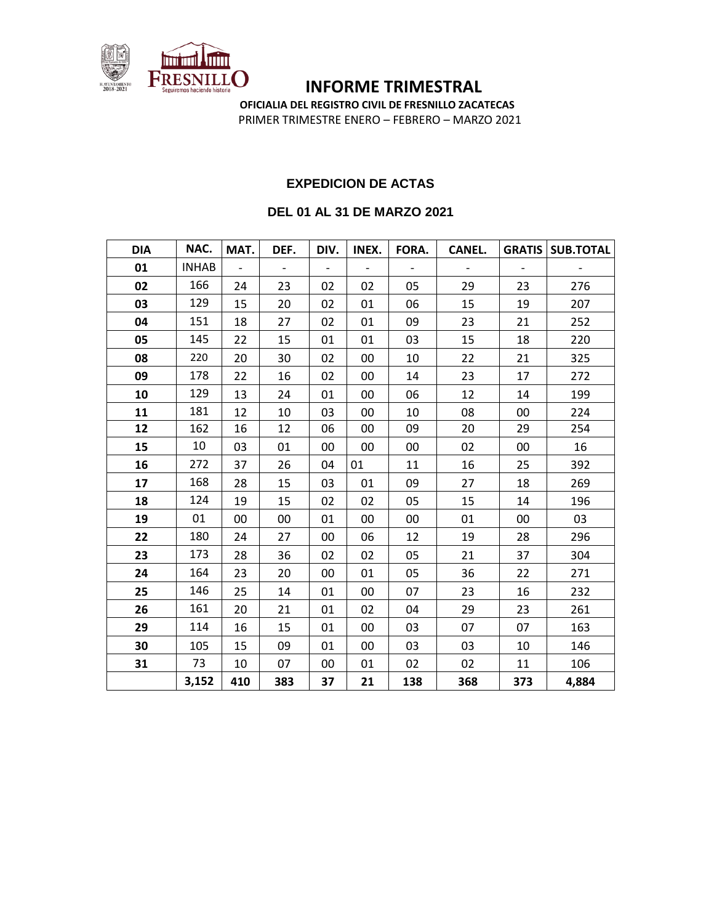

**OFICIALIA DEL REGISTRO CIVIL DE FRESNILLO ZACATECAS** PRIMER TRIMESTRE ENERO – FEBRERO – MARZO 2021

# **EXPEDICION DE ACTAS**

#### **DEL 01 AL 31 DE MARZO 2021**

| <b>DIA</b> | NAC.         | MAT.           | DEF. | DIV.                     | INEX. | FORA. | <b>CANEL.</b> |                          | <b>GRATIS   SUB.TOTAL</b> |
|------------|--------------|----------------|------|--------------------------|-------|-------|---------------|--------------------------|---------------------------|
| 01         | <b>INHAB</b> | $\overline{a}$ |      | $\overline{\phantom{a}}$ |       |       |               | $\overline{\phantom{a}}$ |                           |
| 02         | 166          | 24             | 23   | 02                       | 02    | 05    | 29            | 23                       | 276                       |
| 03         | 129          | 15             | 20   | 02                       | 01    | 06    | 15            | 19                       | 207                       |
| 04         | 151          | 18             | 27   | 02                       | 01    | 09    | 23            | 21                       | 252                       |
| 05         | 145          | 22             | 15   | 01                       | 01    | 03    | 15            | 18                       | 220                       |
| 08         | 220          | 20             | 30   | 02                       | 00    | 10    | 22            | 21                       | 325                       |
| 09         | 178          | 22             | 16   | 02                       | 00    | 14    | 23            | 17                       | 272                       |
| 10         | 129          | 13             | 24   | 01                       | 00    | 06    | 12            | 14                       | 199                       |
| 11         | 181          | 12             | 10   | 03                       | 00    | 10    | 08            | 00                       | 224                       |
| 12         | 162          | 16             | 12   | 06                       | 00    | 09    | 20            | 29                       | 254                       |
| 15         | 10           | 03             | 01   | 00                       | 00    | 00    | 02            | 00                       | 16                        |
| 16         | 272          | 37             | 26   | 04                       | 01    | 11    | 16            | 25                       | 392                       |
| 17         | 168          | 28             | 15   | 03                       | 01    | 09    | 27            | 18                       | 269                       |
| 18         | 124          | 19             | 15   | 02                       | 02    | 05    | 15            | 14                       | 196                       |
| 19         | 01           | 00             | 00   | 01                       | 00    | 00    | 01            | 00                       | 03                        |
| 22         | 180          | 24             | 27   | 00                       | 06    | 12    | 19            | 28                       | 296                       |
| 23         | 173          | 28             | 36   | 02                       | 02    | 05    | 21            | 37                       | 304                       |
| 24         | 164          | 23             | 20   | 00                       | 01    | 05    | 36            | 22                       | 271                       |
| 25         | 146          | 25             | 14   | 01                       | 00    | 07    | 23            | 16                       | 232                       |
| 26         | 161          | 20             | 21   | 01                       | 02    | 04    | 29            | 23                       | 261                       |
| 29         | 114          | 16             | 15   | 01                       | 00    | 03    | 07            | 07                       | 163                       |
| 30         | 105          | 15             | 09   | 01                       | 00    | 03    | 03            | 10                       | 146                       |
| 31         | 73           | 10             | 07   | 00                       | 01    | 02    | 02            | 11                       | 106                       |
|            | 3,152        | 410            | 383  | 37                       | 21    | 138   | 368           | 373                      | 4,884                     |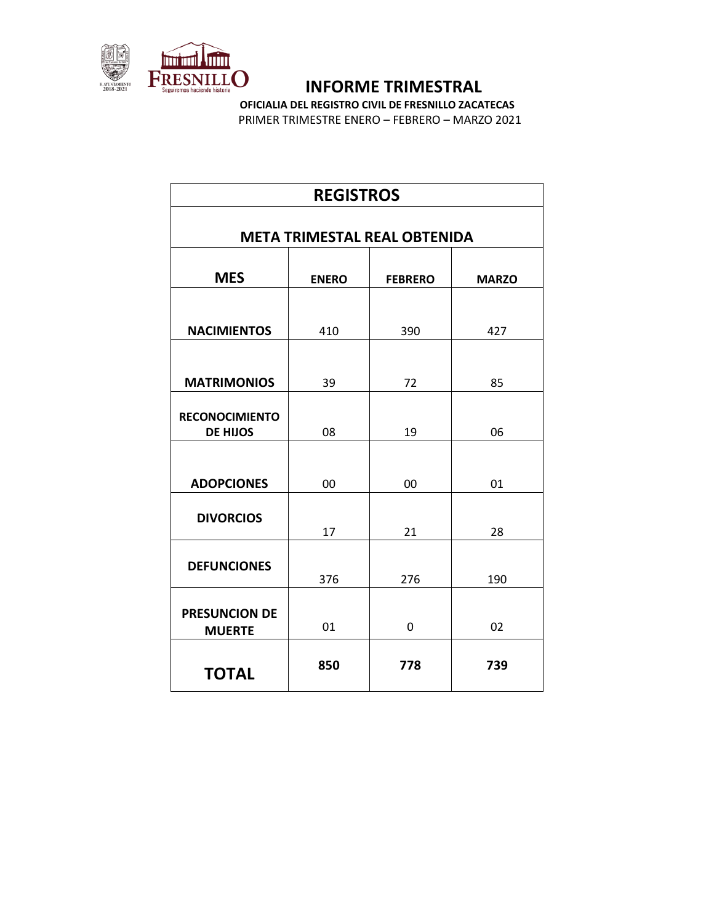

**OFICIALIA DEL REGISTRO CIVIL DE FRESNILLO ZACATECAS** PRIMER TRIMESTRE ENERO – FEBRERO – MARZO 2021

| <b>REGISTROS</b>                         |              |                |              |  |  |  |  |
|------------------------------------------|--------------|----------------|--------------|--|--|--|--|
| <b>META TRIMESTAL REAL OBTENIDA</b>      |              |                |              |  |  |  |  |
| <b>MES</b>                               | <b>ENERO</b> | <b>FEBRERO</b> | <b>MARZO</b> |  |  |  |  |
| <b>NACIMIENTOS</b>                       | 410          | 390            | 427          |  |  |  |  |
| <b>MATRIMONIOS</b>                       | 39           | 72             | 85           |  |  |  |  |
| <b>RECONOCIMIENTO</b><br><b>DE HIJOS</b> | 08           | 19             | 06           |  |  |  |  |
| <b>ADOPCIONES</b>                        | 00           | 00             | 01           |  |  |  |  |
| <b>DIVORCIOS</b>                         | 17           | 21             | 28           |  |  |  |  |
| <b>DEFUNCIONES</b>                       | 376          | 276            | 190          |  |  |  |  |
| <b>PRESUNCION DE</b><br><b>MUERTE</b>    | 01           | 0              | 02           |  |  |  |  |
| <b>TOTAL</b>                             | 850          | 778            | 739          |  |  |  |  |